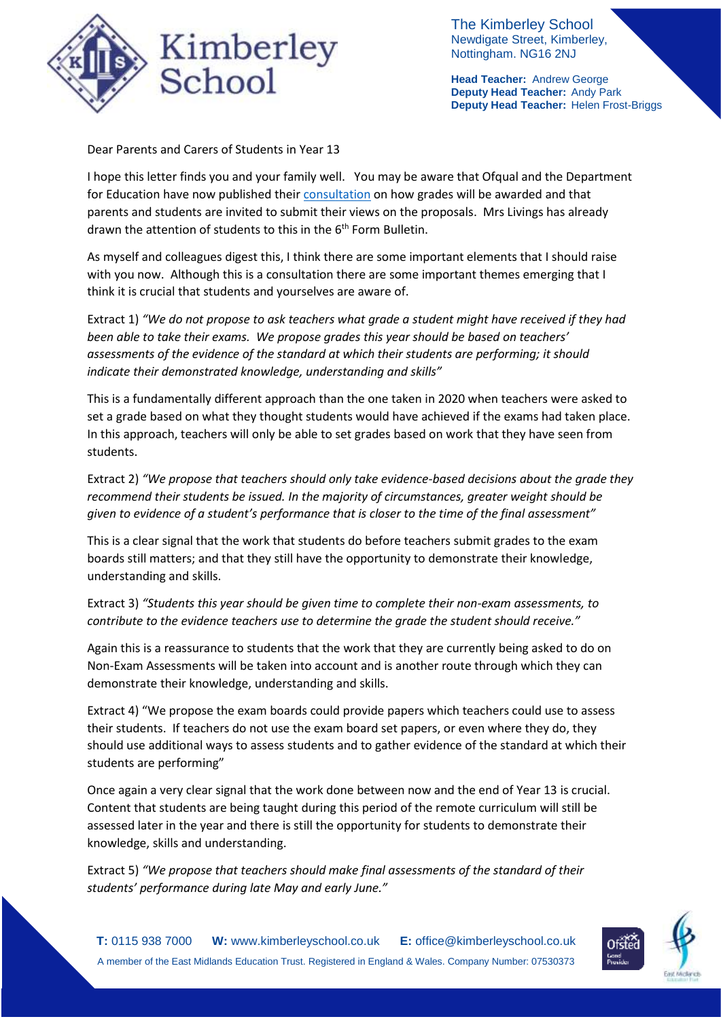

The Kimberley School Newdigate Street, Kimberley, Nottingham. NG16 2NJ

**Head Teacher:** Andrew George **Deputy Head Teacher:** Andy Park **Deputy Head Teacher:** Helen Frost-Briggs

Dear Parents and Carers of Students in Year 13

I hope this letter finds you and your family well. You may be aware that Ofqual and the Department for Education have now published thei[r consultation](https://assets.publishing.service.gov.uk/government/uploads/system/uploads/attachment_data/file/953000/6743-1_GCSE__AS_and_A_level_grades_should_be_awarded_in_summer_2021.pdf) on how grades will be awarded and that parents and students are invited to submit their views on the proposals. Mrs Livings has already drawn the attention of students to this in the  $6<sup>th</sup>$  Form Bulletin.

As myself and colleagues digest this, I think there are some important elements that I should raise with you now. Although this is a consultation there are some important themes emerging that I think it is crucial that students and yourselves are aware of.

Extract 1) *"We do not propose to ask teachers what grade a student might have received if they had been able to take their exams. We propose grades this year should be based on teachers' assessments of the evidence of the standard at which their students are performing; it should indicate their demonstrated knowledge, understanding and skills"*

This is a fundamentally different approach than the one taken in 2020 when teachers were asked to set a grade based on what they thought students would have achieved if the exams had taken place. In this approach, teachers will only be able to set grades based on work that they have seen from students.

Extract 2) *"We propose that teachers should only take evidence-based decisions about the grade they recommend their students be issued. In the majority of circumstances, greater weight should be given to evidence of a student's performance that is closer to the time of the final assessment"*

This is a clear signal that the work that students do before teachers submit grades to the exam boards still matters; and that they still have the opportunity to demonstrate their knowledge, understanding and skills.

Extract 3) *"Students this year should be given time to complete their non-exam assessments, to contribute to the evidence teachers use to determine the grade the student should receive."*

Again this is a reassurance to students that the work that they are currently being asked to do on Non-Exam Assessments will be taken into account and is another route through which they can demonstrate their knowledge, understanding and skills.

Extract 4) "We propose the exam boards could provide papers which teachers could use to assess their students. If teachers do not use the exam board set papers, or even where they do, they should use additional ways to assess students and to gather evidence of the standard at which their students are performing"

Once again a very clear signal that the work done between now and the end of Year 13 is crucial. Content that students are being taught during this period of the remote curriculum will still be assessed later in the year and there is still the opportunity for students to demonstrate their knowledge, skills and understanding.

Extract 5) *"We propose that teachers should make final assessments of the standard of their students' performance during late May and early June."*

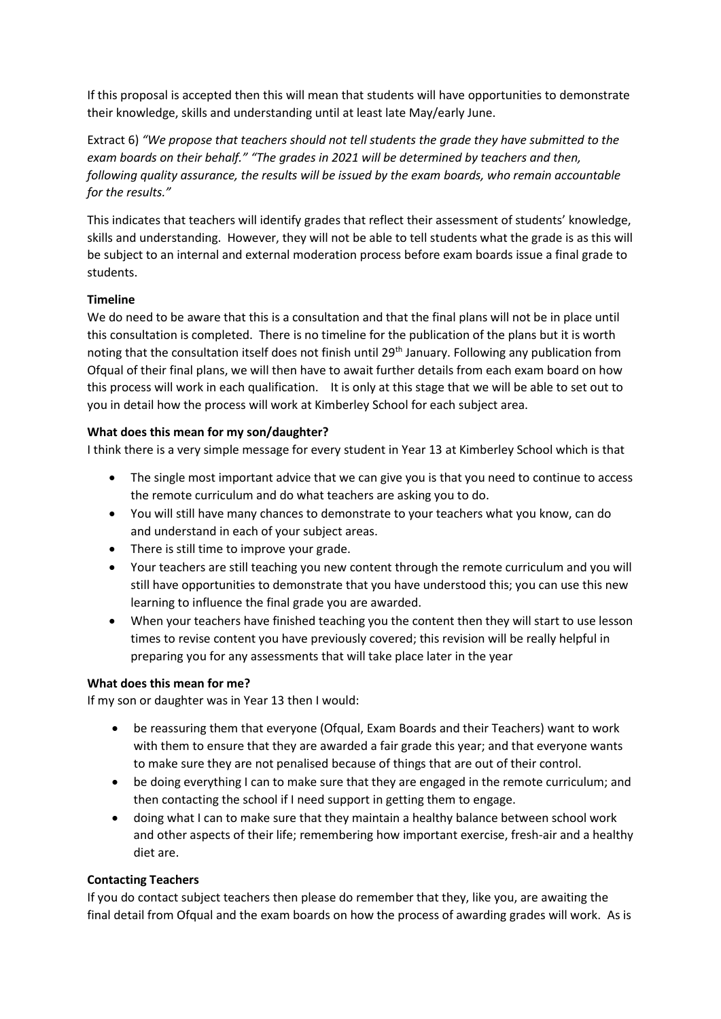If this proposal is accepted then this will mean that students will have opportunities to demonstrate their knowledge, skills and understanding until at least late May/early June.

Extract 6) *"We propose that teachers should not tell students the grade they have submitted to the exam boards on their behalf." "The grades in 2021 will be determined by teachers and then, following quality assurance, the results will be issued by the exam boards, who remain accountable for the results."*

This indicates that teachers will identify grades that reflect their assessment of students' knowledge, skills and understanding. However, they will not be able to tell students what the grade is as this will be subject to an internal and external moderation process before exam boards issue a final grade to students.

# **Timeline**

We do need to be aware that this is a consultation and that the final plans will not be in place until this consultation is completed. There is no timeline for the publication of the plans but it is worth noting that the consultation itself does not finish until 29<sup>th</sup> January. Following any publication from Ofqual of their final plans, we will then have to await further details from each exam board on how this process will work in each qualification. It is only at this stage that we will be able to set out to you in detail how the process will work at Kimberley School for each subject area.

# **What does this mean for my son/daughter?**

I think there is a very simple message for every student in Year 13 at Kimberley School which is that

- The single most important advice that we can give you is that you need to continue to access the remote curriculum and do what teachers are asking you to do.
- You will still have many chances to demonstrate to your teachers what you know, can do and understand in each of your subject areas.
- There is still time to improve your grade.
- Your teachers are still teaching you new content through the remote curriculum and you will still have opportunities to demonstrate that you have understood this; you can use this new learning to influence the final grade you are awarded.
- When your teachers have finished teaching you the content then they will start to use lesson times to revise content you have previously covered; this revision will be really helpful in preparing you for any assessments that will take place later in the year

## **What does this mean for me?**

If my son or daughter was in Year 13 then I would:

- be reassuring them that everyone (Ofqual, Exam Boards and their Teachers) want to work with them to ensure that they are awarded a fair grade this year; and that everyone wants to make sure they are not penalised because of things that are out of their control.
- be doing everything I can to make sure that they are engaged in the remote curriculum; and then contacting the school if I need support in getting them to engage.
- doing what I can to make sure that they maintain a healthy balance between school work and other aspects of their life; remembering how important exercise, fresh-air and a healthy diet are.

## **Contacting Teachers**

If you do contact subject teachers then please do remember that they, like you, are awaiting the final detail from Ofqual and the exam boards on how the process of awarding grades will work. As is